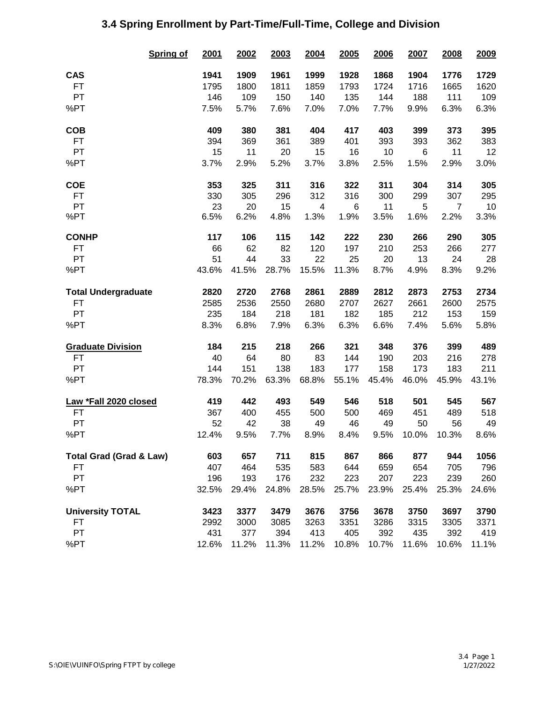|                                    | <b>Spring of</b> | 2001  | 2002  | 2003  | 2004  | 2005  | 2006  | 2007  | 2008  | 2009  |
|------------------------------------|------------------|-------|-------|-------|-------|-------|-------|-------|-------|-------|
| <b>CAS</b>                         |                  | 1941  | 1909  | 1961  | 1999  | 1928  | 1868  | 1904  | 1776  | 1729  |
| <b>FT</b>                          |                  | 1795  | 1800  | 1811  | 1859  | 1793  | 1724  | 1716  | 1665  | 1620  |
| PT                                 |                  | 146   | 109   | 150   | 140   | 135   | 144   | 188   | 111   | 109   |
| %PT                                |                  | 7.5%  | 5.7%  | 7.6%  | 7.0%  | 7.0%  | 7.7%  | 9.9%  | 6.3%  | 6.3%  |
| <b>COB</b>                         |                  | 409   | 380   | 381   | 404   | 417   | 403   | 399   | 373   | 395   |
| <b>FT</b>                          |                  | 394   | 369   | 361   | 389   | 401   | 393   | 393   | 362   | 383   |
| PT                                 |                  | 15    | 11    | 20    | 15    | 16    | 10    | 6     | 11    | 12    |
| %PT                                |                  | 3.7%  | 2.9%  | 5.2%  | 3.7%  | 3.8%  | 2.5%  | 1.5%  | 2.9%  | 3.0%  |
| <b>COE</b>                         |                  | 353   | 325   | 311   | 316   | 322   | 311   | 304   | 314   | 305   |
| <b>FT</b>                          |                  | 330   | 305   | 296   | 312   | 316   | 300   | 299   | 307   | 295   |
| PT                                 |                  | 23    | 20    | 15    | 4     | 6     | 11    | 5     | 7     | 10    |
| %PT                                |                  | 6.5%  | 6.2%  | 4.8%  | 1.3%  | 1.9%  | 3.5%  | 1.6%  | 2.2%  | 3.3%  |
| <b>CONHP</b>                       |                  | 117   | 106   | 115   | 142   | 222   | 230   | 266   | 290   | 305   |
| <b>FT</b>                          |                  | 66    | 62    | 82    | 120   | 197   | 210   | 253   | 266   | 277   |
| PT                                 |                  | 51    | 44    | 33    | 22    | 25    | 20    | 13    | 24    | 28    |
| %PT                                |                  | 43.6% | 41.5% | 28.7% | 15.5% | 11.3% | 8.7%  | 4.9%  | 8.3%  | 9.2%  |
| <b>Total Undergraduate</b>         |                  | 2820  | 2720  | 2768  | 2861  | 2889  | 2812  | 2873  | 2753  | 2734  |
| <b>FT</b>                          |                  | 2585  | 2536  | 2550  | 2680  | 2707  | 2627  | 2661  | 2600  | 2575  |
| PT                                 |                  | 235   | 184   | 218   | 181   | 182   | 185   | 212   | 153   | 159   |
| %PT                                |                  | 8.3%  | 6.8%  | 7.9%  | 6.3%  | 6.3%  | 6.6%  | 7.4%  | 5.6%  | 5.8%  |
| <b>Graduate Division</b>           |                  | 184   | 215   | 218   | 266   | 321   | 348   | 376   | 399   | 489   |
| <b>FT</b>                          |                  | 40    | 64    | 80    | 83    | 144   | 190   | 203   | 216   | 278   |
| PT                                 |                  | 144   | 151   | 138   | 183   | 177   | 158   | 173   | 183   | 211   |
| %PT                                |                  | 78.3% | 70.2% | 63.3% | 68.8% | 55.1% | 45.4% | 46.0% | 45.9% | 43.1% |
| Law *Fall 2020 closed              |                  | 419   | 442   | 493   | 549   | 546   | 518   | 501   | 545   | 567   |
| FT                                 |                  | 367   | 400   | 455   | 500   | 500   | 469   | 451   | 489   | 518   |
| PT                                 |                  | 52    | 42    | 38    | 49    | 46    | 49    | 50    | 56    | 49    |
| %PT                                |                  | 12.4% | 9.5%  | 7.7%  | 8.9%  | 8.4%  | 9.5%  | 10.0% | 10.3% | 8.6%  |
| <b>Total Grad (Grad &amp; Law)</b> |                  | 603   | 657   | 711   | 815   | 867   | 866   | 877   | 944   | 1056  |
| FT                                 |                  | 407   | 464   | 535   | 583   | 644   | 659   | 654   | 705   | 796   |
| PT                                 |                  | 196   | 193   | 176   | 232   | 223   | 207   | 223   | 239   | 260   |
| %PT                                |                  | 32.5% | 29.4% | 24.8% | 28.5% | 25.7% | 23.9% | 25.4% | 25.3% | 24.6% |
| <b>University TOTAL</b>            |                  | 3423  | 3377  | 3479  | 3676  | 3756  | 3678  | 3750  | 3697  | 3790  |
| FT                                 |                  | 2992  | 3000  | 3085  | 3263  | 3351  | 3286  | 3315  | 3305  | 3371  |
| PT                                 |                  | 431   | 377   | 394   | 413   | 405   | 392   | 435   | 392   | 419   |
| %PT                                |                  | 12.6% | 11.2% | 11.3% | 11.2% | 10.8% | 10.7% | 11.6% | 10.6% | 11.1% |

## **3.4 Spring Enrollment by Part-Time/Full-Time, College and Division**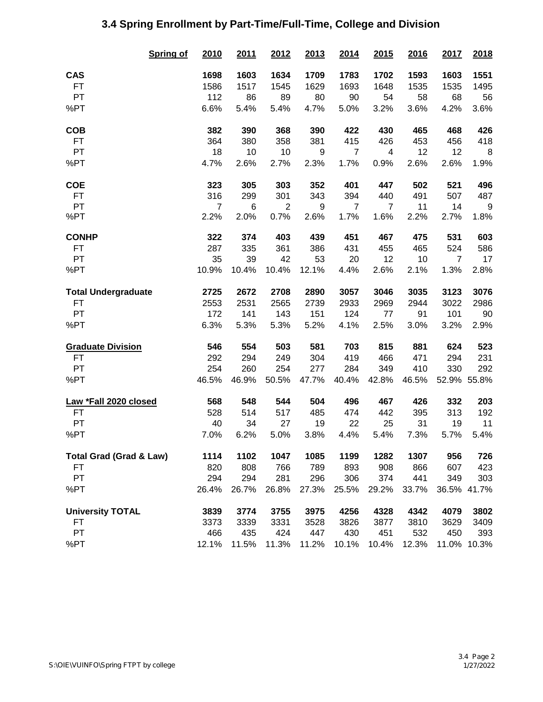|                                    | <b>Spring of</b> | 2010           | 2011  | 2012           | 2013  | 2014           | 2015                     | 2016  | 2017           | 2018        |
|------------------------------------|------------------|----------------|-------|----------------|-------|----------------|--------------------------|-------|----------------|-------------|
| <b>CAS</b>                         |                  | 1698           | 1603  | 1634           | 1709  | 1783           | 1702                     | 1593  | 1603           | 1551        |
| <b>FT</b>                          |                  | 1586           | 1517  | 1545           | 1629  | 1693           | 1648                     | 1535  | 1535           | 1495        |
| PT                                 |                  | 112            | 86    | 89             | 80    | 90             | 54                       | 58    | 68             | 56          |
| %PT                                |                  | 6.6%           | 5.4%  | 5.4%           | 4.7%  | 5.0%           | 3.2%                     | 3.6%  | 4.2%           | 3.6%        |
| <b>COB</b>                         |                  | 382            | 390   | 368            | 390   | 422            | 430                      | 465   | 468            | 426         |
| FT                                 |                  | 364            | 380   | 358            | 381   | 415            | 426                      | 453   | 456            | 418         |
| PT                                 |                  | 18             | 10    | 10             | 9     | $\overline{7}$ | $\overline{\mathcal{A}}$ | 12    | 12             | 8           |
| %PT                                |                  | 4.7%           | 2.6%  | 2.7%           | 2.3%  | 1.7%           | 0.9%                     | 2.6%  | 2.6%           | 1.9%        |
| <b>COE</b>                         |                  | 323            | 305   | 303            | 352   | 401            | 447                      | 502   | 521            | 496         |
| <b>FT</b>                          |                  | 316            | 299   | 301            | 343   | 394            | 440                      | 491   | 507            | 487         |
| PT                                 |                  | $\overline{7}$ | 6     | $\overline{2}$ | 9     | $\overline{7}$ | $\overline{7}$           | 11    | 14             | $9\,$       |
| %PT                                |                  | 2.2%           | 2.0%  | 0.7%           | 2.6%  | 1.7%           | 1.6%                     | 2.2%  | 2.7%           | 1.8%        |
| <b>CONHP</b>                       |                  | 322            | 374   | 403            | 439   | 451            | 467                      | 475   | 531            | 603         |
| <b>FT</b>                          |                  | 287            | 335   | 361            | 386   | 431            | 455                      | 465   | 524            | 586         |
| PT                                 |                  | 35             | 39    | 42             | 53    | 20             | 12                       | 10    | $\overline{7}$ | 17          |
| %PT                                |                  | 10.9%          | 10.4% | 10.4%          | 12.1% | 4.4%           | 2.6%                     | 2.1%  | 1.3%           | 2.8%        |
| <b>Total Undergraduate</b>         |                  | 2725           | 2672  | 2708           | 2890  | 3057           | 3046                     | 3035  | 3123           | 3076        |
| <b>FT</b>                          |                  | 2553           | 2531  | 2565           | 2739  | 2933           | 2969                     | 2944  | 3022           | 2986        |
| PT                                 |                  | 172            | 141   | 143            | 151   | 124            | 77                       | 91    | 101            | 90          |
| %PT                                |                  | 6.3%           | 5.3%  | 5.3%           | 5.2%  | 4.1%           | 2.5%                     | 3.0%  | 3.2%           | 2.9%        |
| <b>Graduate Division</b>           |                  | 546            | 554   | 503            | 581   | 703            | 815                      | 881   | 624            | 523         |
| FT                                 |                  | 292            | 294   | 249            | 304   | 419            | 466                      | 471   | 294            | 231         |
| PT                                 |                  | 254            | 260   | 254            | 277   | 284            | 349                      | 410   | 330            | 292         |
| %PT                                |                  | 46.5%          | 46.9% | 50.5%          | 47.7% | 40.4%          | 42.8%                    | 46.5% |                | 52.9% 55.8% |
| Law *Fall 2020 closed              |                  | 568            | 548   | 544            | 504   | 496            | 467                      | 426   | 332            | 203         |
| <b>FT</b>                          |                  | 528            | 514   | 517            | 485   | 474            | 442                      | 395   | 313            | 192         |
| PT                                 |                  | 40             | 34    | 27             | 19    | 22             | 25                       | 31    | 19             | 11          |
| %PT                                |                  | 7.0%           | 6.2%  | 5.0%           | 3.8%  | 4.4%           | 5.4%                     | 7.3%  | 5.7%           | 5.4%        |
| <b>Total Grad (Grad &amp; Law)</b> |                  | 1114           | 1102  | 1047           | 1085  | 1199           | 1282                     | 1307  | 956            | 726         |
| FT                                 |                  | 820            | 808   | 766            | 789   | 893            | 908                      | 866   | 607            | 423         |
| PT                                 |                  | 294            | 294   | 281            | 296   | 306            | 374                      | 441   | 349            | 303         |
| %PT                                |                  | 26.4%          | 26.7% | 26.8%          | 27.3% | 25.5%          | 29.2%                    | 33.7% |                | 36.5% 41.7% |
| <b>University TOTAL</b>            |                  | 3839           | 3774  | 3755           | 3975  | 4256           | 4328                     | 4342  | 4079           | 3802        |
| FT                                 |                  | 3373           | 3339  | 3331           | 3528  | 3826           | 3877                     | 3810  | 3629           | 3409        |
| PT                                 |                  | 466            | 435   | 424            | 447   | 430            | 451                      | 532   | 450            | 393         |
| %PT                                |                  | 12.1%          | 11.5% | 11.3%          | 11.2% | 10.1%          | 10.4%                    | 12.3% | 11.0%          | 10.3%       |

## **3.4 Spring Enrollment by Part-Time/Full-Time, College and Division**